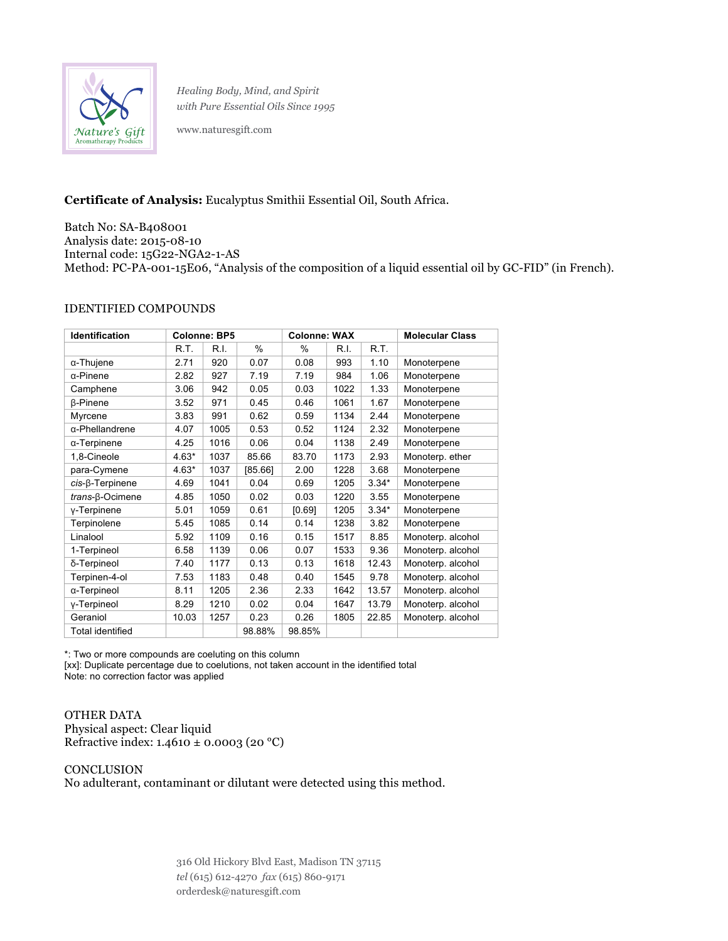

*Healing Body, Mind, and Spirit with Pure Essential Oils Since 1995*

www.naturesgift.com

## **Certificate of Analysis:** Eucalyptus Smithii Essential Oil, South Africa.

Batch No: SA-B408001 Analysis date: 2015-08-10 Internal code: 15G22-NGA2-1-AS Method: PC-PA-001-15E06, "Analysis of the composition of a liquid essential oil by GC-FID" (in French).

## IDENTIFIED COMPOUNDS

| <b>Identification</b>      | <b>Colonne: BP5</b> |      |         | <b>Colonne: WAX</b> |      |         | <b>Molecular Class</b> |
|----------------------------|---------------------|------|---------|---------------------|------|---------|------------------------|
|                            | R.T.                | R.I. | $\%$    | %                   | R.I. | R.T.    |                        |
| $\alpha$ -Thujene          | 2.71                | 920  | 0.07    | 0.08                | 993  | 1.10    | Monoterpene            |
| α-Pinene                   | 2.82                | 927  | 7.19    | 7.19                | 984  | 1.06    | Monoterpene            |
| Camphene                   | 3.06                | 942  | 0.05    | 0.03                | 1022 | 1.33    | Monoterpene            |
| <b><i>B-Pinene</i></b>     | 3.52                | 971  | 0.45    | 0.46                | 1061 | 1.67    | Monoterpene            |
| Myrcene                    | 3.83                | 991  | 0.62    | 0.59                | 1134 | 2.44    | Monoterpene            |
| α-Phellandrene             | 4.07                | 1005 | 0.53    | 0.52                | 1124 | 2.32    | Monoterpene            |
| $\alpha$ -Terpinene        | 4.25                | 1016 | 0.06    | 0.04                | 1138 | 2.49    | Monoterpene            |
| 1.8-Cineole                | $4.63*$             | 1037 | 85.66   | 83.70               | 1173 | 2.93    | Monoterp. ether        |
| para-Cymene                | $4.63*$             | 1037 | [85.66] | 2.00                | 1228 | 3.68    | Monoterpene            |
| $cis$ - $\beta$ -Terpinene | 4.69                | 1041 | 0.04    | 0.69                | 1205 | $3.34*$ | Monoterpene            |
| $trans-\beta-Ocimene$      | 4.85                | 1050 | 0.02    | 0.03                | 1220 | 3.55    | Monoterpene            |
| y-Terpinene                | 5.01                | 1059 | 0.61    | [0.69]              | 1205 | $3.34*$ | Monoterpene            |
| Terpinolene                | 5.45                | 1085 | 0.14    | 0.14                | 1238 | 3.82    | Monoterpene            |
| Linalool                   | 5.92                | 1109 | 0.16    | 0.15                | 1517 | 8.85    | Monoterp. alcohol      |
| 1-Terpineol                | 6.58                | 1139 | 0.06    | 0.07                | 1533 | 9.36    | Monoterp. alcohol      |
| δ-Terpineol                | 7.40                | 1177 | 0.13    | 0.13                | 1618 | 12.43   | Monoterp. alcohol      |
| Terpinen-4-ol              | 7.53                | 1183 | 0.48    | 0.40                | 1545 | 9.78    | Monoterp. alcohol      |
| α-Terpineol                | 8.11                | 1205 | 2.36    | 2.33                | 1642 | 13.57   | Monoterp. alcohol      |
| y-Terpineol                | 8.29                | 1210 | 0.02    | 0.04                | 1647 | 13.79   | Monoterp. alcohol      |
| Geraniol                   | 10.03               | 1257 | 0.23    | 0.26                | 1805 | 22.85   | Monoterp. alcohol      |
| <b>Total identified</b>    |                     |      | 98.88%  | 98.85%              |      |         |                        |

\*: Two or more compounds are coeluting on this column

[xx]: Duplicate percentage due to coelutions, not taken account in the identified total Note: no correction factor was applied

OTHER DATA Physical aspect: Clear liquid Refractive index:  $1.4610 \pm 0.0003$  (20 °C)

CONCLUSION No adulterant, contaminant or dilutant were detected using this method.

> 316 Old Hickory Blvd East, Madison TN 37115 *tel* (615) 612-4270 *fax* (615) 860-9171 orderdesk@naturesgift.com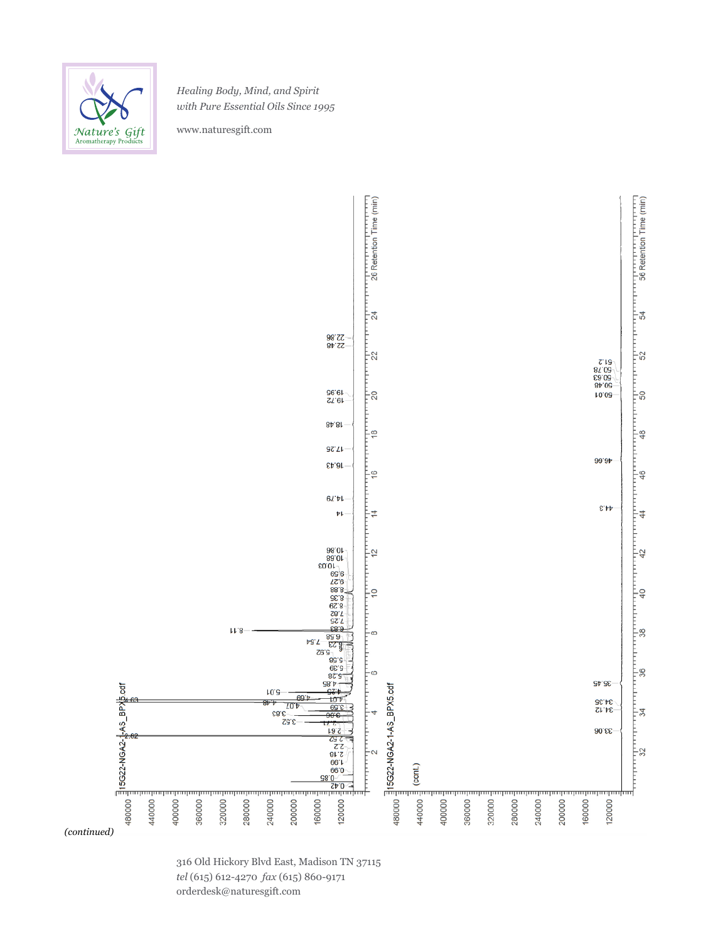

*Healing Body, Mind, and Spirit with Pure Essential Oils Since 1995*

www.naturesgift.com



316 Old Hickory Blvd East, Madison TN 37115 *tel* (615) 612-4270 *fax* (615) 860-9171 orderdesk@naturesgift.com